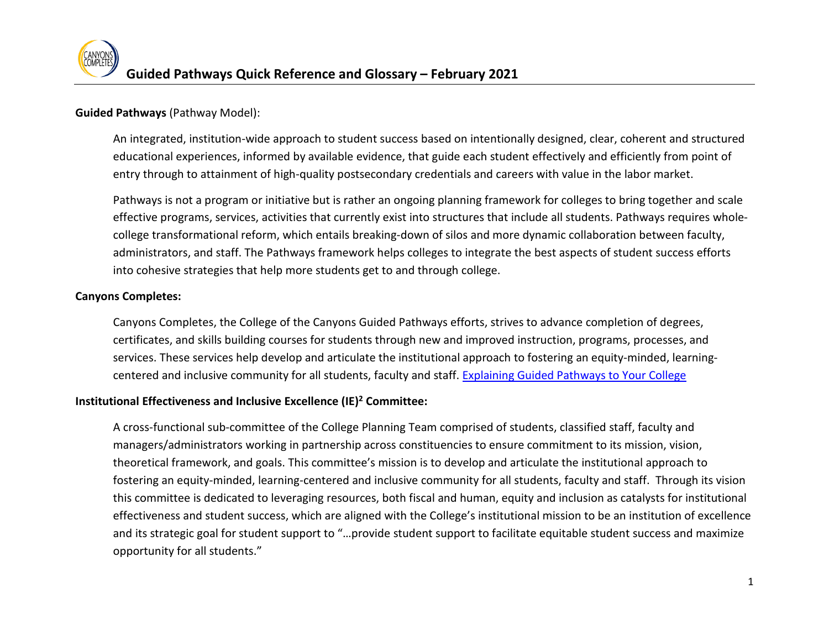# **Guided Pathways** (Pathway Model):

An integrated, institution-wide approach to student success based on intentionally designed, clear, coherent and structured educational experiences, informed by available evidence, that guide each student effectively and efficiently from point of entry through to attainment of high-quality postsecondary credentials and careers with value in the labor market.

 Pathways is not a program or initiative but is rather an ongoing planning framework for colleges to bring together and scale college transformational reform, which entails breaking-down of silos and more dynamic collaboration between faculty, administrators, and staff. The Pathways framework helps colleges to integrate the best aspects of student success efforts into cohesive strategies that help more students get to and through college. effective programs, services, activities that currently exist into structures that include all students. Pathways requires whole-

# **Canyons Completes:**

centered and inclusive community for all students, faculty and staff. Explaining Guided Pathways to Your College Canyons Completes, the College of the Canyons Guided Pathways efforts, strives to advance completion of degrees, certificates, and skills building courses for students through new and improved instruction, programs, processes, and services. These services help develop and articulate the institutional approach to fostering an equity-minded, learning-

# **Institutional Effectiveness and Inclusive Excellence (IE)2 Committee:**

 managers/administrators working in partnership across constituencies to ensure commitment to its mission, vision, theoretical framework, and goals. This committee's mission is to develop and articulate the institutional approach to and its strategic goal for student support to "…provide student support to facilitate equitable student success and maximize A cross-functional sub-committee of the College Planning Team comprised of students, classified staff, faculty and fostering an equity-minded, learning-centered and inclusive community for all students, faculty and staff. Through its vision this committee is dedicated to leveraging resources, both fiscal and human, equity and inclusion as catalysts for institutional effectiveness and student success, which are aligned with the College's institutional mission to be an institution of excellence opportunity for all students."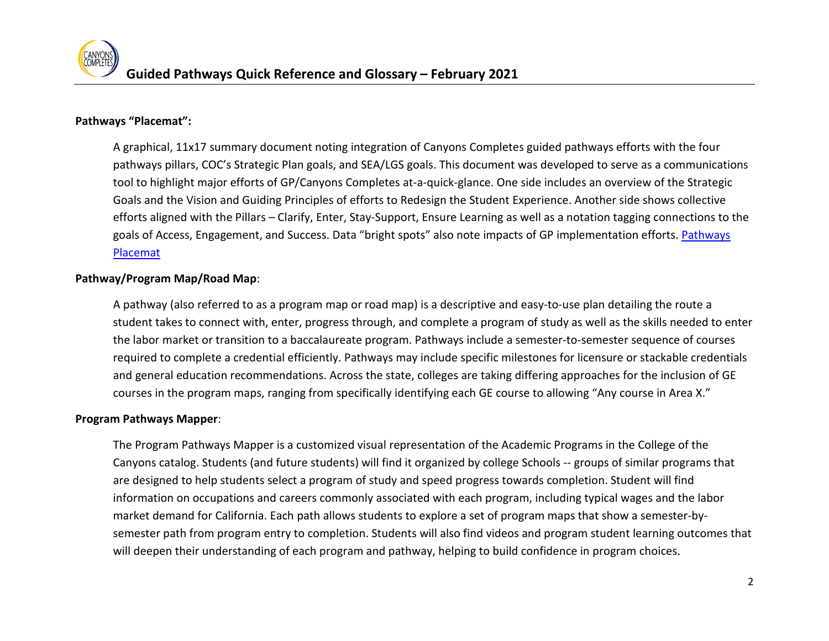# **Pathways "Placemat":**

A graphical, 11x17 summary document noting integration of Canyons Completes guided pathways efforts with the four pathways pillars, COC's Strategic Plan goals, and SEA/LGS goals. This document was developed to serve as a communications tool to highlight major efforts of GP/Canyons Completes at-a-quick-glance. One side includes an overview of the Strategic Goals and the Vision and Guiding Principles of efforts to Redesign the Student Experience. Another side shows collective efforts aligned with the Pillars – Clarify, Enter, Stay-Support, Ensure Learning as well as a notation tagging connections to the goals of Access, Engagement, and Success. Data "bright spots" also note impacts of GP implementation efforts. Pathways [Placemat](https://www.canyons.edu/_resources/documents/studentservices/canyonscompletes/PathwaysPlacemat5final.pdf) 

# **Pathway/Program Map/Road Map**:

A pathway (also referred to as a program map or road map) is a descriptive and easy-to-use plan detailing the route a student takes to connect with, enter, progress through, and complete a program of study as well as the skills needed to enter the labor market or transition to a baccalaureate program. Pathways include a semester-to-semester sequence of courses required to complete a credential efficiently. Pathways may include specific milestones for licensure or stackable credentials and general education recommendations. Across the state, colleges are taking differing approaches for the inclusion of GE courses in the program maps, ranging from specifically identifying each GE course to allowing "Any course in Area X."

#### **Program Pathways Mapper**:

The Program Pathways Mapper is a customized visual representation of the Academic Programs in the College of the Canyons catalog. Students (and future students) will find it organized by college Schools -- groups of similar programs that are designed to help students select a program of study and speed progress towards completion. Student will find information on occupations and careers commonly associated with each program, including typical wages and the labor market demand for California. Each path allows students to explore a set of program maps that show a semester-bysemester path from program entry to completion. Students will also find videos and program student learning outcomes that will deepen their understanding of each program and pathway, helping to build confidence in program choices.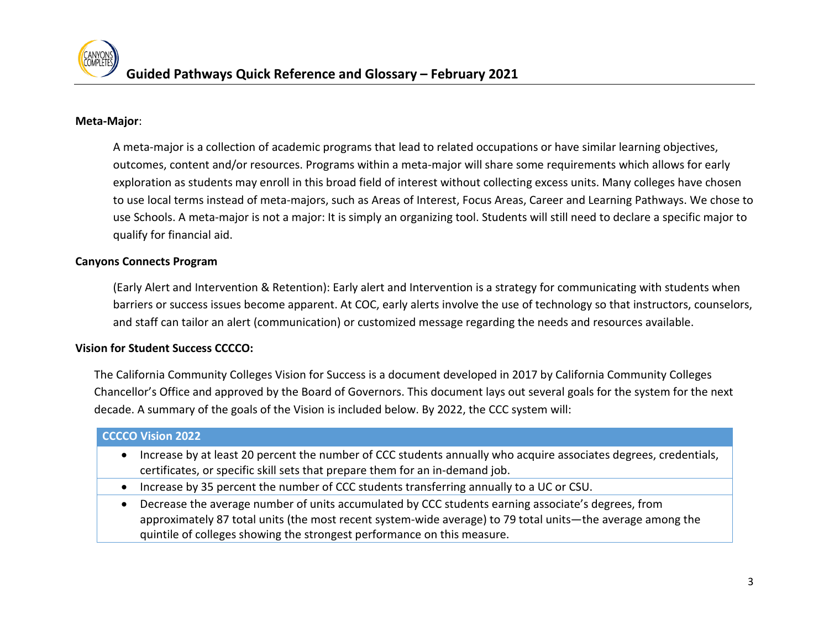## **Meta-Major**:

A meta-major is a collection of academic programs that lead to related occupations or have similar learning objectives, outcomes, content and/or resources. Programs within a meta-major will share some requirements which allows for early exploration as students may enroll in this broad field of interest without collecting excess units. Many colleges have chosen to use local terms instead of meta-majors, such as Areas of Interest, Focus Areas, Career and Learning Pathways. We chose to use Schools. A meta-major is not a major: It is simply an organizing tool. Students will still need to declare a specific major to qualify for financial aid.

### **Canyons Connects Program**

(Early Alert and Intervention & Retention): Early alert and Intervention is a strategy for communicating with students when barriers or success issues become apparent. At COC, early alerts involve the use of technology so that instructors, counselors, and staff can tailor an alert (communication) or customized message regarding the needs and resources available.

#### **Vision for Student Success CCCCO:**

The California Community Colleges Vision for Success is a document developed in 2017 by California Community Colleges Chancellor's Office and approved by the Board of Governors. This document lays out several goals for the system for the next decade. A summary of the goals of the Vision is included below. By 2022, the CCC system will:

# **CCCCO Vision 2022**

- certificates, or specific skill sets that prepare them for an in-demand job. • Increase by at least 20 percent the number of CCC students annually who acquire associates degrees, credentials,
- Increase by 35 percent the number of CCC students transferring annually to a UC or CSU.
- approximately 87 total units (the most recent system-wide average) to 79 total units—the average among the • Decrease the average number of units accumulated by CCC students earning associate's degrees, from quintile of colleges showing the strongest performance on this measure.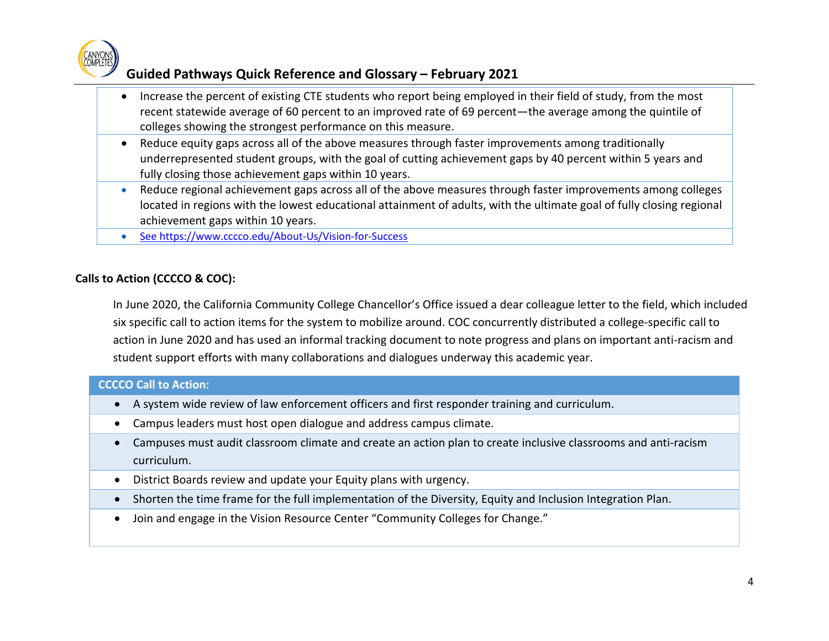

# **Guided Pathways Quick Reference and Glossary – February 2021**

- recent statewide average of 60 percent to an improved rate of 69 percent—the average among the quintile of • Increase the percent of existing CTE students who report being employed in their field of study, from the most colleges showing the strongest performance on this measure.
- underrepresented student groups, with the goal of cutting achievement gaps by 40 percent within 5 years and • Reduce equity gaps across all of the above measures through faster improvements among traditionally fully closing those achievement gaps within 10 years.
- Reduce regional achievement gaps across all of the above measures through faster improvements among colleges located in regions with the lowest educational attainment of adults, with the ultimate goal of fully closing regional achievement gaps within 10 years.
- See https://www.cccco.edu/About-Us/Vision-for-Success

# **Calls to Action (CCCCO & COC):**

 six specific call to action items for the system to mobilize around. COC concurrently distributed a college-specific call to In June 2020, the California Community College Chancellor's Office issued a dear colleague letter to the field, which included action in June 2020 and has used an informal tracking document to note progress and plans on important anti-racism and student support efforts with many collaborations and dialogues underway this academic year.

# **CCCCO Call to Action:**

- A system wide review of law enforcement officers and first responder training and curriculum.
- Campus leaders must host open dialogue and address campus climate.
- Campuses must audit classroom climate and create an action plan to create inclusive classrooms and anti-racism curriculum.
- District Boards review and update your Equity plans with urgency.
- Shorten the time frame for the full implementation of the Diversity, Equity and Inclusion Integration Plan.
- Join and engage in the Vision Resource Center "Community Colleges for Change."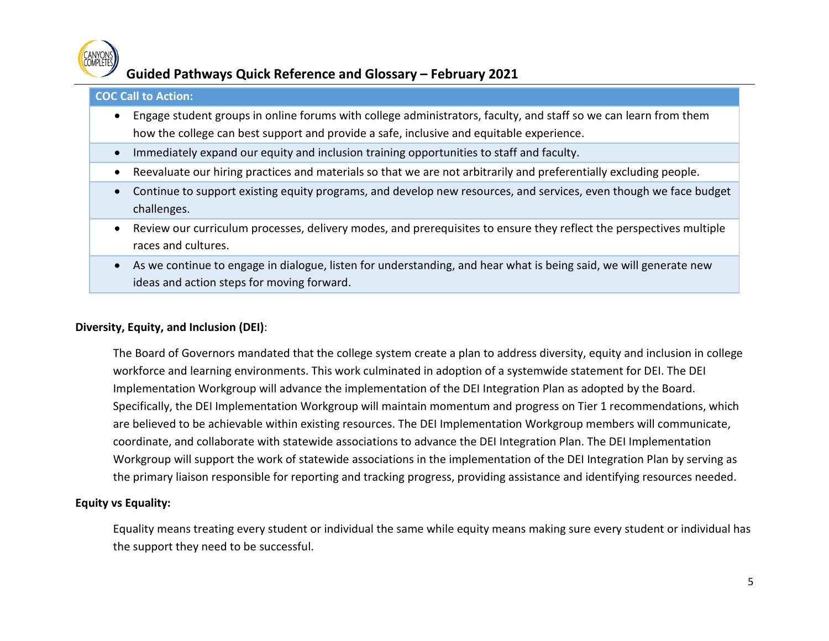

# **Guided Pathways Quick Reference and Glossary – February 2021**

## **COC Call to Action:**

- Engage student groups in online forums with college administrators, faculty, and staff so we can learn from them how the college can best support and provide a safe, inclusive and equitable experience.
- Immediately expand our equity and inclusion training opportunities to staff and faculty.
- Reevaluate our hiring practices and materials so that we are not arbitrarily and preferentially excluding people.
- Continue to support existing equity programs, and develop new resources, and services, even though we face budget challenges.
- Review our curriculum processes, delivery modes, and prerequisites to ensure they reflect the perspectives multiple races and cultures.
- As we continue to engage in dialogue, listen for understanding, and hear what is being said, we will generate new ideas and action steps for moving forward.

#### **Diversity, Equity, and Inclusion (DEI)**:

The Board of Governors mandated that the college system create a plan to address diversity, equity and inclusion in college workforce and learning environments. This work culminated in adoption of a systemwide statement for DEI. The DEI Implementation Workgroup will advance the implementation of the DEI Integration Plan as adopted by the Board. Specifically, the DEI Implementation Workgroup will maintain momentum and progress on Tier 1 recommendations, which are believed to be achievable within existing resources. The DEI Implementation Workgroup members will communicate, coordinate, and collaborate with statewide associations to advance the DEI Integration Plan. The DEI Implementation Workgroup will support the work of statewide associations in the implementation of the DEI Integration Plan by serving as the primary liaison responsible for reporting and tracking progress, providing assistance and identifying resources needed.

# **Equity vs Equality:**

Equality means treating every student or individual the same while equity means making sure every student or individual has the support they need to be successful.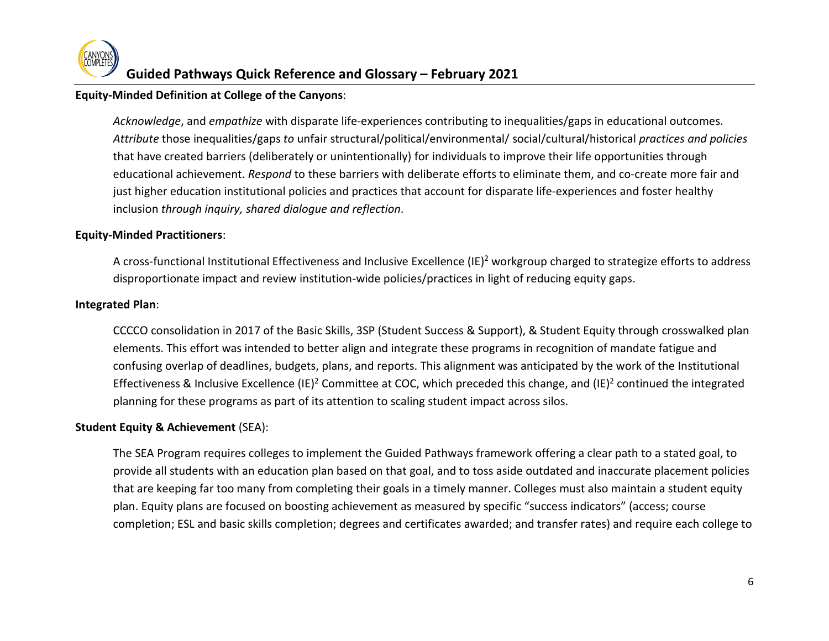## **Equity-Minded Definition at College of the Canyons**:

*Acknowledge*, and *empathize* with disparate life-experiences contributing to inequalities/gaps in educational outcomes. *Attribute* those inequalities/gaps *to* unfair structural/political/environmental/ social/cultural/historical *practices and policies*  that have created barriers (deliberately or unintentionally) for individuals to improve their life opportunities through educational achievement. *Respond* to these barriers with deliberate efforts to eliminate them, and co-create more fair and just higher education institutional policies and practices that account for disparate life-experiences and foster healthy inclusion *through inquiry, shared dialogue and reflection*.

### **Equity-Minded Practitioners**:

A cross-functional Institutional Effectiveness and Inclusive Excellence (IE)<sup>2</sup> workgroup charged to strategize efforts to address disproportionate impact and review institution-wide policies/practices in light of reducing equity gaps.

#### **Integrated Plan**:

CCCCO consolidation in 2017 of the Basic Skills, 3SP (Student Success & Support), & Student Equity through crosswalked plan elements. This effort was intended to better align and integrate these programs in recognition of mandate fatigue and confusing overlap of deadlines, budgets, plans, and reports. This alignment was anticipated by the work of the Institutional Effectiveness & Inclusive Excellence (IE)<sup>2</sup> Committee at COC, which preceded this change, and (IE)<sup>2</sup> continued the integrated planning for these programs as part of its attention to scaling student impact across silos.

# **Student Equity & Achievement** (SEA):

The SEA Program requires colleges to implement the Guided Pathways framework offering a clear path to a stated goal, to provide all students with an education plan based on that goal, and to toss aside outdated and inaccurate placement policies that are keeping far too many from completing their goals in a timely manner. Colleges must also maintain a student equity plan. Equity plans are focused on boosting achievement as measured by specific "success indicators" (access; course completion; ESL and basic skills completion; degrees and certificates awarded; and transfer rates) and require each college to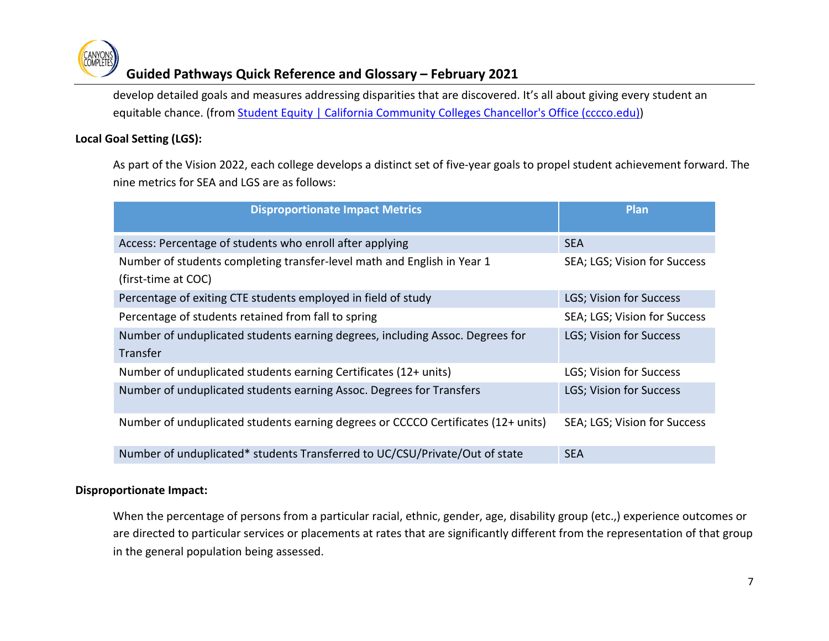

# **Guided Pathways Quick Reference and Glossary – February 2021**

 develop detailed goals and measures addressing disparities that are discovered. It's all about giving every student an equitable chance. (from [Student Equity | California Community Colleges Chancellor's Office \(cccco.edu\)\)](https://www.cccco.edu/About-Us/Chancellors-Office/Divisions/Educational-Services-and-Support/Student-Service/What-we-do/Student-Equity)

# **Local Goal Setting (LGS):**

As part of the Vision 2022, each college develops a distinct set of five-year goals to propel student achievement forward. The nine metrics for SEA and LGS are as follows:

| <b>Disproportionate Impact Metrics</b>                                                           | Plan                         |
|--------------------------------------------------------------------------------------------------|------------------------------|
| Access: Percentage of students who enroll after applying                                         | <b>SEA</b>                   |
| Number of students completing transfer-level math and English in Year 1<br>(first-time at COC)   | SEA; LGS; Vision for Success |
| Percentage of exiting CTE students employed in field of study                                    | LGS; Vision for Success      |
| Percentage of students retained from fall to spring                                              | SEA; LGS; Vision for Success |
| Number of unduplicated students earning degrees, including Assoc. Degrees for<br><b>Transfer</b> | LGS; Vision for Success      |
| Number of unduplicated students earning Certificates (12+ units)                                 | LGS; Vision for Success      |
| Number of unduplicated students earning Assoc. Degrees for Transfers                             | LGS; Vision for Success      |
| Number of unduplicated students earning degrees or CCCCO Certificates (12+ units)                | SEA; LGS; Vision for Success |
| Number of unduplicated* students Transferred to UC/CSU/Private/Out of state                      | <b>SEA</b>                   |

# **Disproportionate Impact:**

When the percentage of persons from a particular racial, ethnic, gender, age, disability group (etc.,) experience outcomes or are directed to particular services or placements at rates that are significantly different from the representation of that group in the general population being assessed.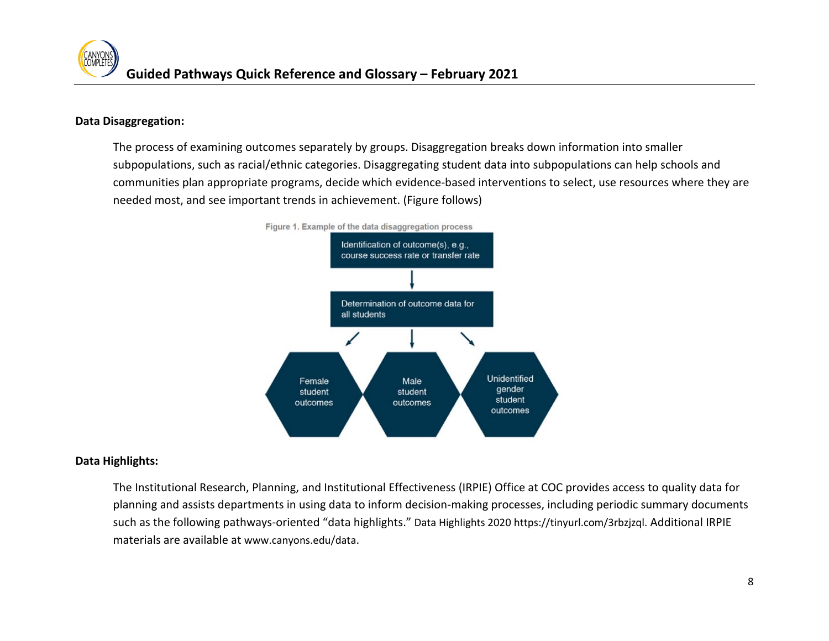# **Data Disaggregation:**

 The process of examining outcomes separately by groups. Disaggregation breaks down information into smaller communities plan appropriate programs, decide which evidence-based interventions to select, use resources where they are subpopulations, such as racial/ethnic categories. Disaggregating student data into subpopulations can help schools and needed most, and see important trends in achievement. (Figure follows)



# **Data Highlights:**

 planning and assists departments in using data to inform decision-making processes, including periodic summary documents materials are available at [www.canyons.edu/data.](http://www.canyons.edu/data) The Institutional Research, Planning, and Institutional Effectiveness (IRPIE) Office at COC provides access to quality data for such as the following pathways-oriented "data highlights.[" Data Highlights 2020](https://www.canyons.edu/_resources/documents/administration/irpie/datahighlights2020_final.pdf) [https://tinyurl.com/3rbzjzql.](https://tinyurl.com/3rbzjzql) Additional IRPIE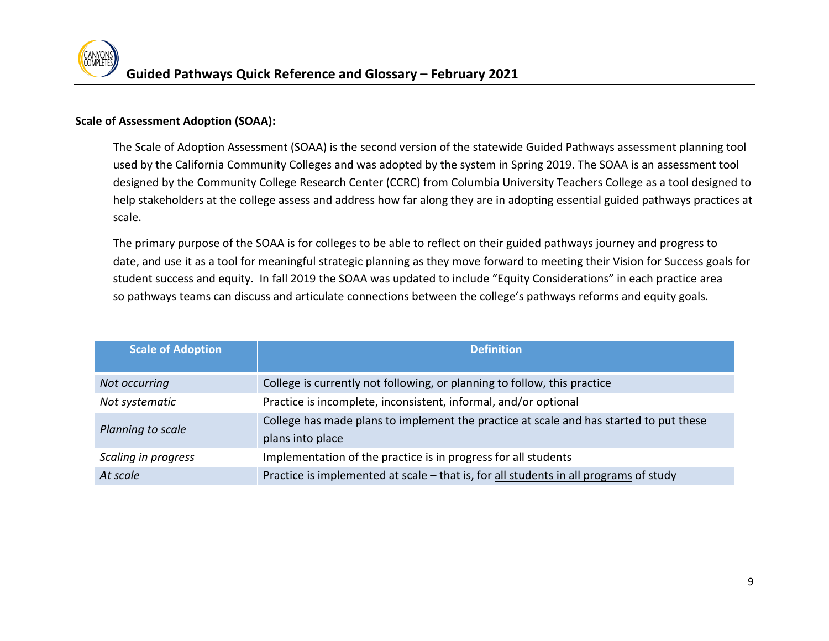# **Scale of Assessment Adoption (SOAA):**

The Scale of Adoption Assessment (SOAA) is the second version of the statewide Guided Pathways assessment planning tool used by the California Community Colleges and was adopted by the system in Spring 2019. The SOAA is an assessment tool designed by the Community College Research Center (CCRC) from Columbia University Teachers College as a tool designed to help stakeholders at the college assess and address how far along they are in adopting essential guided pathways practices at scale.

The primary purpose of the SOAA is for colleges to be able to reflect on their guided pathways journey and progress to date, and use it as a tool for meaningful strategic planning as they move forward to meeting their Vision for Success goals for student success and equity. In fall 2019 the SOAA was updated to include "Equity Considerations" in each practice area so pathways teams can discuss and articulate connections between the college's pathways reforms and equity goals.

| <b>Scale of Adoption</b> | <b>Definition</b>                                                                      |
|--------------------------|----------------------------------------------------------------------------------------|
|                          |                                                                                        |
| Not occurring            | College is currently not following, or planning to follow, this practice               |
| Not systematic           | Practice is incomplete, inconsistent, informal, and/or optional                        |
| Planning to scale        | College has made plans to implement the practice at scale and has started to put these |
|                          | plans into place                                                                       |
| Scaling in progress      | Implementation of the practice is in progress for all students                         |
| At scale                 | Practice is implemented at scale - that is, for all students in all programs of study  |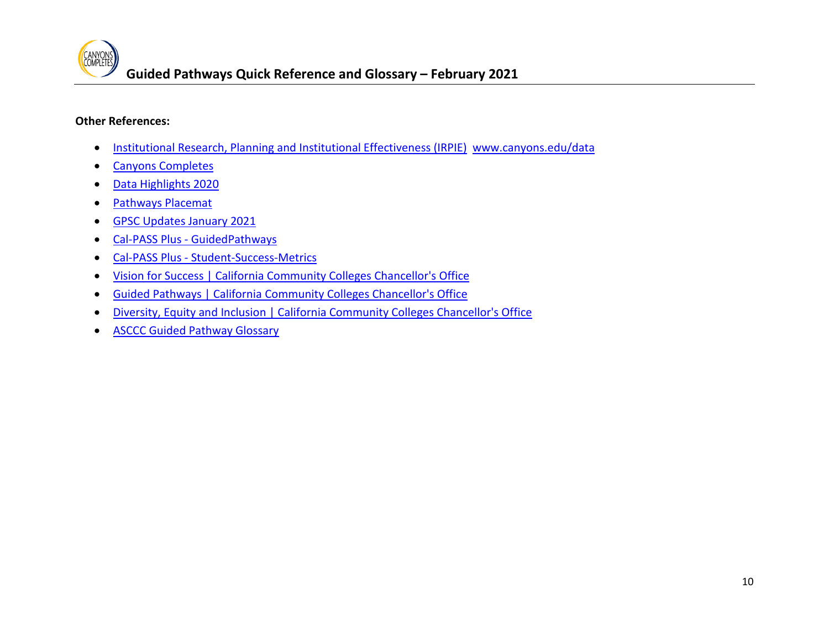# **Other References:**

- [Institutional Research, Planning and Institutional Effectiveness \(IRPIE\)](https://www.canyons.edu/administration/irpie/) [www.canyons.edu/data](http://www.canyons.edu/data)
- [Canyons Completes](https://www.canyons.edu/administration/ie2/canyonscompletes/index.php)
- [Data Highlights 2020](https://www.canyons.edu/_resources/documents/administration/irpie/datahighlights2020_final.pdf)
- [Pathways Placemat](https://www.canyons.edu/_resources/documents/studentservices/canyonscompletes/PathwaysPlacemat5final.pdf)
- [GPSC Updates January 2021](https://www.canyons.edu/_resources/documents/studentservices/canyonscompletes/gpsteeringminutes/jan21updates.pdf)
- Cal-PASS Plus [GuidedPathways](https://www.calpassplus.org/LaunchBoard/GuidedPathways.aspx)
- Cal-PASS Plus [Student-Success-Metrics](https://www.calpassplus.org/LaunchBoard/Student-Success-Metrics)
- [Vision for Success | California Community Colleges Chancellor's Office](https://www.cccco.edu/About-Us/Vision-for-Success)
- [Guided Pathways | California Community Colleges Chancellor's Office](https://www.cccco.edu/College-Professionals/Guided-Pathways)
- [Diversity, Equity and Inclusion | California Community Colleges Chancellor's Office](https://www.cccco.edu/About-Us/Vision-for-Success/diversity-equity-inclusion)
- [ASCCC Guided Pathway Glossary](https://asccc.org/sites/default/files/ASCCC%20GP%20Glossary%20of%20Terms%20-%20clean%20%282%29.pdf)